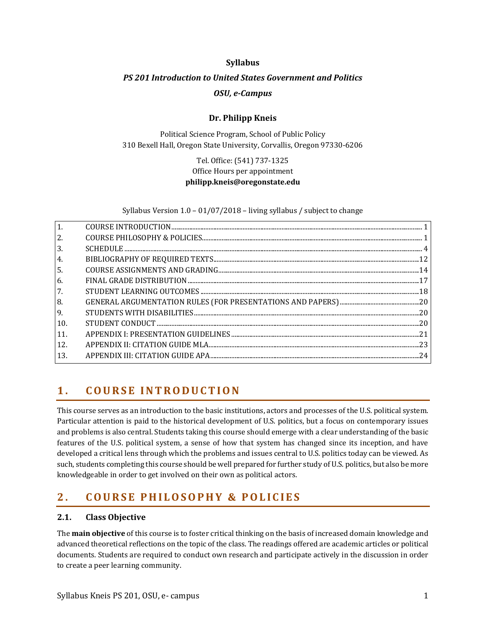## **Syllabus**

# *PS 201 Introduction to United States Government and Politics OSU, e-Campus*

## **Dr. Philipp Kneis**

Political Science Program, School of Public Policy 310 Bexell Hall, Oregon State University, Corvallis, Oregon 97330-6206

# Tel. Office: (541) 737-1325 Office Hours per appointment **philipp.kneis@oregonstate.edu**

Syllabus Version 1.0 – 01/07/2018 – living syllabus / subject to change

| 1.               |    |
|------------------|----|
| <sup>2.</sup>    |    |
| $\overline{3}$ . |    |
| 4.               |    |
| 5.               |    |
| 6.               |    |
| 7.               |    |
| 8.               |    |
| 9.               |    |
| 10.              | 20 |
| <sup>11</sup>    |    |
| 12.              |    |
| <sup>13</sup>    | 24 |
|                  |    |

# <span id="page-0-0"></span>**1 . C O U R S E I N T R O D U C T I O N**

This course serves as an introduction to the basic institutions, actors and processes of the U.S. political system. Particular attention is paid to the historical development of U.S. politics, but a focus on contemporary issues and problems is also central. Students taking this course should emerge with a clear understanding of the basic features of the U.S. political system, a sense of how that system has changed since its inception, and have developed a critical lens through which the problems and issues central to U.S. politics today can be viewed. As such, students completing this course should be well prepared for further study of U.S. politics, but also be more knowledgeable in order to get involved on their own as political actors.

# <span id="page-0-1"></span>**2 . C O U R S E P H I L O S O P H Y & P O L I C I E S**

## **2.1. Class Objective**

The **main objective** of this course is to foster critical thinking on the basis of increased domain knowledge and advanced theoretical reflections on the topic of the class. The readings offered are academic articles or political documents. Students are required to conduct own research and participate actively in the discussion in order to create a peer learning community.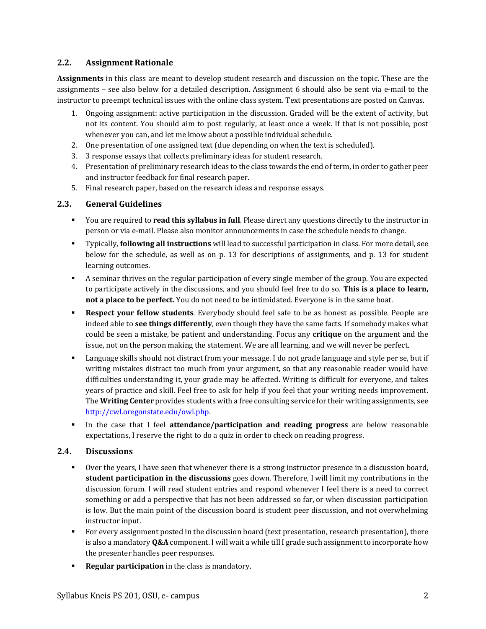## **2.2. Assignment Rationale**

**Assignments** in this class are meant to develop student research and discussion on the topic. These are the assignments – see also below for a detailed description. Assignment 6 should also be sent via e-mail to the instructor to preempt technical issues with the online class system. Text presentations are posted on Canvas.

- 1. Ongoing assignment: active participation in the discussion. Graded will be the extent of activity, but not its content. You should aim to post regularly, at least once a week. If that is not possible, post whenever you can, and let me know about a possible individual schedule.
- 2. One presentation of one assigned text (due depending on when the text is scheduled).
- 3. 3 response essays that collects preliminary ideas for student research.
- 4. Presentation of preliminary research ideas to the class towards the end of term, in order to gather peer and instructor feedback for final research paper.
- 5. Final research paper, based on the research ideas and response essays.

## **2.3. General Guidelines**

- You are required to **read this syllabus in full**. Please direct any questions directly to the instructor in person or via e-mail. Please also monitor announcements in case the schedule needs to change.
- Typically, **following all instructions** will lead to successful participation in class. For more detail, see below for the schedule, as well as on p. [13](#page-12-0) for descriptions of assignments, and p. [13](#page-12-0) for student learning outcomes.
- A seminar thrives on the regular participation of every single member of the group. You are expected to participate actively in the discussions, and you should feel free to do so. **This is a place to learn, not a place to be perfect.** You do not need to be intimidated. Everyone is in the same boat.
- **Respect your fellow students**. Everybody should feel safe to be as honest as possible. People are indeed able to **see things differently**, even though they have the same facts. If somebody makes what could be seen a mistake, be patient and understanding. Focus any **critique** on the argument and the issue, not on the person making the statement. We are all learning, and we will never be perfect.
- Language skills should not distract from your message. I do not grade language and style per se, but if writing mistakes distract too much from your argument, so that any reasonable reader would have difficulties understanding it, your grade may be affected. Writing is difficult for everyone, and takes years of practice and skill. Feel free to ask for help if you feel that your writing needs improvement. The **Writing Center** provides students with a free consulting service for their writing assignments, see [http://cwl.oregonstate.edu/owl.php.](http://cwl.oregonstate.edu/owl.php)
- In the case that I feel **attendance/participation and reading progress** are below reasonable expectations, I reserve the right to do a quiz in order to check on reading progress.

## **2.4. Discussions**

- Over the years, I have seen that whenever there is a strong instructor presence in a discussion board, **student participation in the discussions** goes down. Therefore, I will limit my contributions in the discussion forum. I will read student entries and respond whenever I feel there is a need to correct something or add a perspective that has not been addressed so far, or when discussion participation is low. But the main point of the discussion board is student peer discussion, and not overwhelming instructor input.
- For every assignment posted in the discussion board (text presentation, research presentation), there is also a mandatory **Q&A** component. I will wait a while till I grade such assignment to incorporate how the presenter handles peer responses.
- **Regular participation** in the class is mandatory.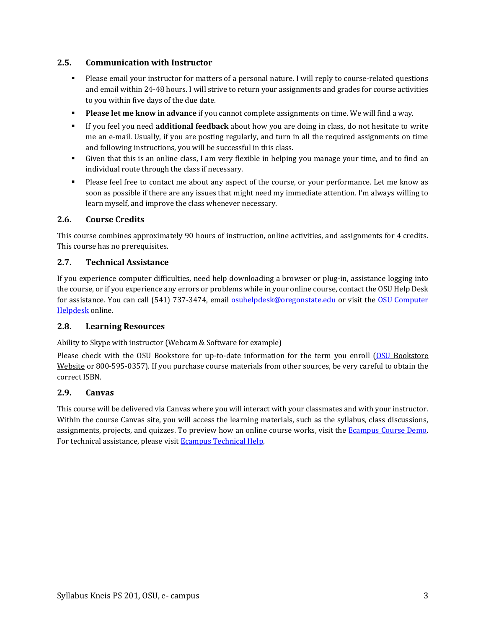## **2.5. Communication with Instructor**

- Please email your instructor for matters of a personal nature. I will reply to course-related questions and email within 24-48 hours. I will strive to return your assignments and grades for course activities to you within five days of the due date.
- **Please let me know in advance** if you cannot complete assignments on time. We will find a way.
- If you feel you need **additional feedback** about how you are doing in class, do not hesitate to write me an e-mail. Usually, if you are posting regularly, and turn in all the required assignments on time and following instructions, you will be successful in this class.
- Given that this is an online class, I am very flexible in helping you manage your time, and to find an individual route through the class if necessary.
- Please feel free to contact me about any aspect of the course, or your performance. Let me know as soon as possible if there are any issues that might need my immediate attention. I'm always willing to learn myself, and improve the class whenever necessary.

## **2.6. Course Credits**

This course combines approximately 90 hours of instruction, online activities, and assignments for 4 credits. This course has no prerequisites.

## **2.7. Technical Assistance**

If you experience computer difficulties, need help downloading a browser or plug-in, assistance logging into the course, or if you experience any errors or problems while in your online course, contact the OSU Help Desk for assistance. You can call (541) 737-3474, email **osuhelpdesk@oregonstate.edu** or visit the OSU Computer [Helpdesk](http://oregonstate.edu/is/tss/och/) online.

## **2.8. Learning Resources**

Ability to Skype with instructor (Webcam & Software for example)

Please check with the OSU Bookstore for up-to-date information for the term you enroll [\(OSU](http://osubeaverstore.com/Academics) Bookstore Website or 800-595-0357). If you purchase course materials from other sources, be very careful to obtain the correct ISBN.

## **2.9. Canvas**

This course will be delivered via Canvas where you will interact with your classmates and with your instructor. Within the course Canvas site, you will access the learning materials, such as the syllabus, class discussions, assignments, projects, and quizzes. To preview how an online course works, visit the [Ecampus Course Demo.](http://ecampus.oregonstate.edu/coursedemo/) For technical assistance, please visit **Ecampus Technical Help**.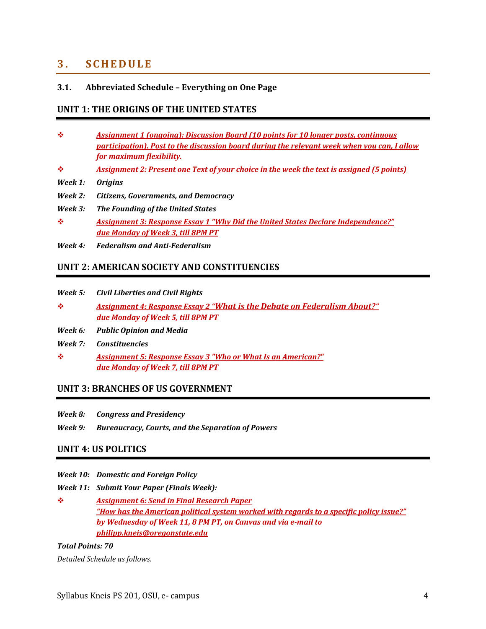# <span id="page-3-0"></span>**3 . S C H E D U L E**

## **3.1. Abbreviated Schedule – Everything on One Page**

## **UNIT 1: THE ORIGINS OF THE UNITED STATES**

- ❖ *Assignment 1 (ongoing): Discussion Board (10 points for 10 longer posts, continuous participation). Post to the discussion board during the relevant week when you can, I allow for maximum flexibility.*
- ❖ *Assignment 2: Present one Text of your choice in the week the text is assigned (5 points)*
- *Week 1: Origins*
- *Week 2: Citizens, Governments, and Democracy*
- *Week 3: The Founding of the United States*
- ❖ *Assignment 3: Response Essay 1 "Why Did the United States Declare Independence?" due Monday of Week 3, till 8PM PT*
- *Week 4: Federalism and Anti-Federalism*

## **UNIT 2: AMERICAN SOCIETY AND CONSTITUENCIES**

- *Week 5: Civil Liberties and Civil Rights*
- ❖ *Assignment 4: Response Essay 2 "What is the Debate on Federalism About?" due Monday of Week 5, till 8PM PT*
- *Week 6: Public Opinion and Media*
- *Week 7: Constituencies*
- ❖ *Assignment 5: Response Essay 3 "Who or What Is an American?" due Monday of Week 7, till 8PM PT*

## **UNIT 3: BRANCHES OF US GOVERNMENT**

- *Week 8: Congress and Presidency*
- *Week 9: Bureaucracy, Courts, and the Separation of Powers*

## **UNIT 4: US POLITICS**

- *Week 10: Domestic and Foreign Policy*
- *Week 11: Submit Your Paper (Finals Week):*
- ❖ *Assignment 6: Send in Final Research Paper "How has the American political system worked with regards to a specific policy issue?" by Wednesday of Week 11, 8 PM PT, on Canvas and via e-mail to philipp.kneis@oregonstate.edu*

## *Total Points: 70*

*Detailed Schedule as follows.*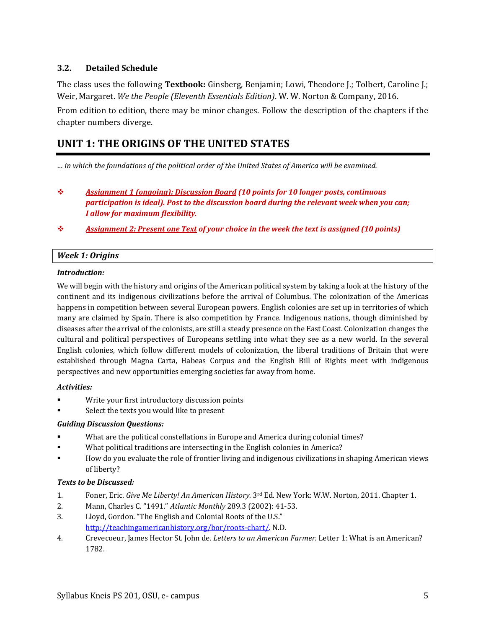## **3.2. Detailed Schedule**

The class uses the following **Textbook:** Ginsberg, Benjamin; Lowi, Theodore J.; Tolbert, Caroline J.; Weir, Margaret. *We the People (Eleventh Essentials Edition)*. W. W. Norton & Company, 2016.

From edition to edition, there may be minor changes. Follow the description of the chapters if the chapter numbers diverge.

# **UNIT 1: THE ORIGINS OF THE UNITED STATES**

*… in which the foundations of the political order of the United States of America will be examined.*

- ❖ *Assignment 1 (ongoing): Discussion Board (10 points for 10 longer posts, continuous participation is ideal). Post to the discussion board during the relevant week when you can; I allow for maximum flexibility.*
- ❖ *Assignment 2: Present one Text of your choice in the week the text is assigned (10 points)*

## *Week 1: Origins*

### *Introduction:*

We will begin with the history and origins of the American political system by taking a look at the history of the continent and its indigenous civilizations before the arrival of Columbus. The colonization of the Americas happens in competition between several European powers. English colonies are set up in territories of which many are claimed by Spain. There is also competition by France. Indigenous nations, though diminished by diseases after the arrival of the colonists, are still a steady presence on the East Coast. Colonization changes the cultural and political perspectives of Europeans settling into what they see as a new world. In the several English colonies, which follow different models of colonization, the liberal traditions of Britain that were established through Magna Carta, Habeas Corpus and the English Bill of Rights meet with indigenous perspectives and new opportunities emerging societies far away from home.

## *Activities:*

- **•** Write your first introductory discussion points
- Select the texts you would like to present

## *Guiding Discussion Questions:*

- What are the political constellations in Europe and America during colonial times?
- What political traditions are intersecting in the English colonies in America?
- How do you evaluate the role of frontier living and indigenous civilizations in shaping American views of liberty?

## *Texts to be Discussed:*

- 1. Foner, Eric. *Give Me Liberty! An American History.* 3rd Ed. New York: W.W. Norton, 2011. Chapter 1.
- 2. Mann, Charles C. "1491." *Atlantic Monthly* 289.3 (2002): 41-53.
- 3. Lloyd, Gordon. "The English and Colonial Roots of the U.S." [http://teachingamericanhistory.org/bor/roots-chart/.](http://teachingamericanhistory.org/bor/roots-chart/) N.D.
- 4. Crevecoeur, James Hector St. John de. *Letters to an American Farmer.* Letter 1: What is an American? 1782.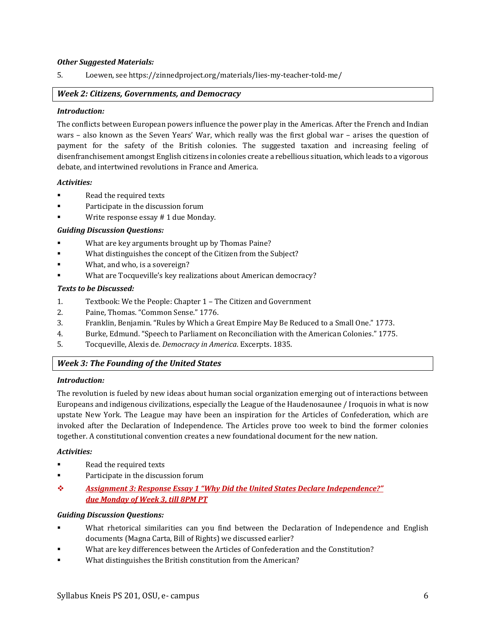### *Other Suggested Materials:*

5. Loewen, se[e https://zinnedproject.org/materials/lies-my-teacher-told-me/](https://zinnedproject.org/materials/lies-my-teacher-told-me/)

### *Week 2: Citizens, Governments, and Democracy*

#### *Introduction:*

The conflicts between European powers influence the power play in the Americas. After the French and Indian wars – also known as the Seven Years' War, which really was the first global war – arises the question of payment for the safety of the British colonies. The suggested taxation and increasing feeling of disenfranchisement amongst English citizens in colonies create a rebellious situation, which leads to a vigorous debate, and intertwined revolutions in France and America.

### *Activities:*

- Read the required texts
- Participate in the discussion forum
- Write response essay # 1 due Monday.

## *Guiding Discussion Questions:*

- What are key arguments brought up by Thomas Paine?
- What distinguishes the concept of the Citizen from the Subject?
- What, and who, is a sovereign?
- What are Tocqueville's key realizations about American democracy?

### *Texts to be Discussed:*

- 1. Textbook: We the People: Chapter 1 The Citizen and Government
- 2. Paine, Thomas. "Common Sense." 1776.
- 3. Franklin, Benjamin. "Rules by Which a Great Empire May Be Reduced to a Small One." 1773.
- 4. Burke, Edmund. "Speech to Parliament on Reconciliation with the American Colonies." 1775.
- 5. Tocqueville, Alexis de. *Democracy in America*. Excerpts. 1835.

## *Week 3: The Founding of the United States*

### *Introduction:*

The revolution is fueled by new ideas about human social organization emerging out of interactions between Europeans and indigenous civilizations, especially the League of the Haudenosaunee / Iroquois in what is now upstate New York. The League may have been an inspiration for the Articles of Confederation, which are invoked after the Declaration of Independence. The Articles prove too week to bind the former colonies together. A constitutional convention creates a new foundational document for the new nation.

#### *Activities:*

- Read the required texts
- Participate in the discussion forum
- ❖ *Assignment 3: Response Essay 1 "Why Did the United States Declare Independence?" due Monday of Week 3, till 8PM PT*

#### *Guiding Discussion Questions:*

- **•** What rhetorical similarities can you find between the Declaration of Independence and English documents (Magna Carta, Bill of Rights) we discussed earlier?
- What are key differences between the Articles of Confederation and the Constitution?
- What distinguishes the British constitution from the American?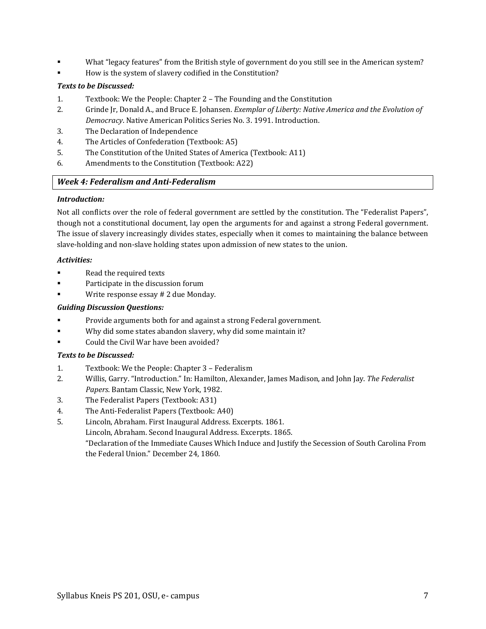- What "legacy features" from the British style of government do you still see in the American system?
- How is the system of slavery codified in the Constitution?

## *Texts to be Discussed:*

- 1. Textbook: We the People: Chapter 2 The Founding and the Constitution
- 2. Grinde Jr, Donald A., and Bruce E. Johansen. *Exemplar of Liberty: Native America and the Evolution of Democracy*. Native American Politics Series No. 3. 1991. Introduction.
- 3. The Declaration of Independence
- 4. The Articles of Confederation (Textbook: A5)
- 5. The Constitution of the United States of America (Textbook: A11)
- 6. Amendments to the Constitution (Textbook: A22)

## *Week 4: Federalism and Anti-Federalism*

## *Introduction:*

Not all conflicts over the role of federal government are settled by the constitution. The "Federalist Papers", though not a constitutional document, lay open the arguments for and against a strong Federal government. The issue of slavery increasingly divides states, especially when it comes to maintaining the balance between slave-holding and non-slave holding states upon admission of new states to the union.

## *Activities:*

- Read the required texts
- **•** Participate in the discussion forum
- Write response essay # 2 due Monday.

## *Guiding Discussion Questions:*

- Provide arguments both for and against a strong Federal government.
- Why did some states abandon slavery, why did some maintain it?
- Could the Civil War have been avoided?

## *Texts to be Discussed:*

- 1. Textbook: We the People: Chapter 3 Federalism
- 2. Willis, Garry. "Introduction." In: Hamilton, Alexander, James Madison, and John Jay. *The Federalist Papers*. Bantam Classic, New York, 1982.
- 3. The Federalist Papers (Textbook: A31)
- 4. The Anti-Federalist Papers (Textbook: A40)
- 5. Lincoln, Abraham. First Inaugural Address. Excerpts. 1861. Lincoln, Abraham. Second Inaugural Address. Excerpts. 1865. "Declaration of the Immediate Causes Which Induce and Justify the Secession of South Carolina From the Federal Union." December 24, 1860.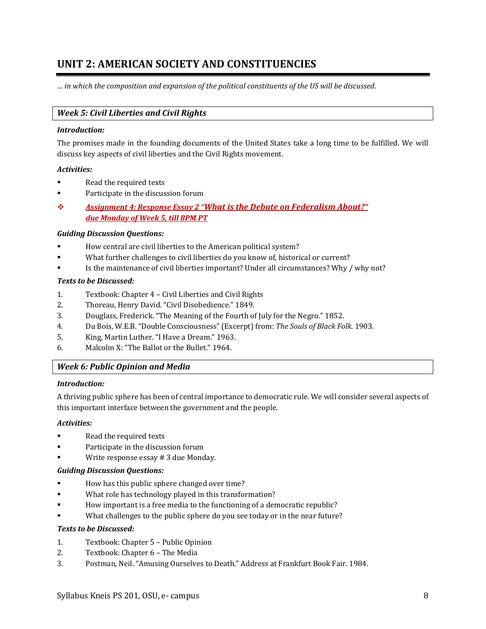# **UNIT 2: AMERICAN SOCIETY AND CONSTITUENCIES**

*… in which the composition and expansion of the political constituents of the US will be discussed.*

## *Week 5: Civil Liberties and Civil Rights*

#### *Introduction:*

The promises made in the founding documents of the United States take a long time to be fulfilled. We will discuss key aspects of civil liberties and the Civil Rights movement.

### *Activities:*

- Read the required texts
- Participate in the discussion forum
- ❖ *Assignment 4: Response Essay 2 "What is the Debate on Federalism About?" due Monday of Week 5, till 8PM PT*

### *Guiding Discussion Questions:*

- How central are civil liberties to the American political system?
- What further challenges to civil liberties do you know of, historical or current?
- Is the maintenance of civil liberties important? Under all circumstances? Why / why not?

### *Texts to be Discussed:*

- 1. Textbook: Chapter 4 Civil Liberties and Civil Rights
- 2. Thoreau, Henry David. "Civil Disobedience." 1849.
- 3. Douglass, Frederick. "The Meaning of the Fourth of July for the Negro." 1852.
- 4. Du Bois, W.E.B. "Double Consciousness" (Excerpt) from: *The Souls of Black Folk*. 1903.
- 5. King, Martin Luther. "I Have a Dream." 1963.
- 6. Malcolm X: "The Ballot or the Bullet." 1964.

## *Week 6: Public Opinion and Media*

### *Introduction:*

A thriving public sphere has been of central importance to democratic rule. We will consider several aspects of this important interface between the government and the people.

#### *Activities:*

- Read the required texts
- Participate in the discussion forum
- Write response essay # 3 due Monday.

#### *Guiding Discussion Questions:*

- How has this public sphere changed over time?
- What role has technology played in this transformation?
- How important is a free media to the functioning of a democratic republic?
- What challenges to the public sphere do you see today or in the near future?

### *Texts to be Discussed:*

- 1. Textbook: Chapter 5 Public Opinion
- 2. Textbook: Chapter 6 The Media
- 3. Postman, Neil. "Amusing Ourselves to Death." Address at Frankfurt Book Fair. 1984.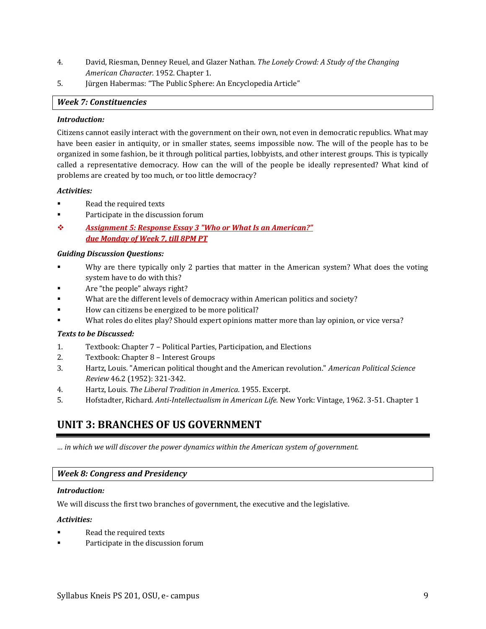- 4. David, Riesman, Denney Reuel, and Glazer Nathan. *The Lonely Crowd: A Study of the Changing American Character.* 1952. Chapter 1.
- 5. Jürgen Habermas: "The Public Sphere: An Encyclopedia Article"

## *Week 7: Constituencies*

### *Introduction:*

Citizens cannot easily interact with the government on their own, not even in democratic republics. What may have been easier in antiquity, or in smaller states, seems impossible now. The will of the people has to be organized in some fashion, be it through political parties, lobbyists, and other interest groups. This is typically called a representative democracy. How can the will of the people be ideally represented? What kind of problems are created by too much, or too little democracy?

## *Activities:*

- Read the required texts
- Participate in the discussion forum
- ❖ *Assignment 5: Response Essay 3 "Who or What Is an American?" due Monday of Week 7, till 8PM PT*

### *Guiding Discussion Questions:*

- Why are there typically only 2 parties that matter in the American system? What does the voting system have to do with this?
- Are "the people" always right?
- What are the different levels of democracy within American politics and society?
- How can citizens be energized to be more political?
- What roles do elites play? Should expert opinions matter more than lay opinion, or vice versa?

## *Texts to be Discussed:*

- 1. Textbook: Chapter 7 Political Parties, Participation, and Elections
- 2. Textbook: Chapter 8 Interest Groups
- 3. Hartz, Louis. "American political thought and the American revolution." *American Political Science Review* 46.2 (1952): 321-342.
- 4. Hartz, Louis. *The Liberal Tradition in America*. 1955. Excerpt.
- 5. Hofstadter, Richard. *Anti-Intellectualism in American Life.* New York: Vintage, 1962. 3-51. Chapter 1

# **UNIT 3: BRANCHES OF US GOVERNMENT**

*… in which we will discover the power dynamics within the American system of government.*

## *Week 8: Congress and Presidency*

#### *Introduction:*

We will discuss the first two branches of government, the executive and the legislative.

## *Activities:*

- Read the required texts
- Participate in the discussion forum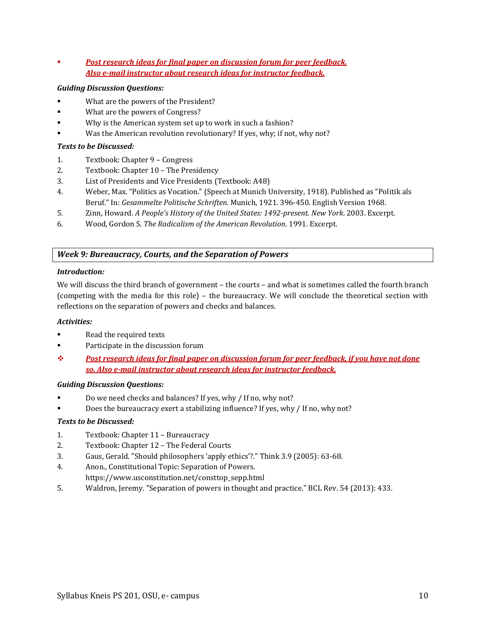*Post research ideas for final paper on discussion forum for peer feedback. Also e-mail instructor about research ideas for instructor feedback.*

## *Guiding Discussion Questions:*

- What are the powers of the President?
- What are the powers of Congress?
- Why is the American system set up to work in such a fashion?
- Was the American revolution revolutionary? If yes, why; if not, why not?

## *Texts to be Discussed:*

- 1. Textbook: Chapter 9 Congress
- 2. Textbook: Chapter 10 The Presidency
- 3. List of Presidents and Vice Presidents (Textbook: A48)
- 4. Weber, Max. "Politics as Vocation." (Speech at Munich University, 1918). Published as "Politik als Beruf." In: *Gesammelte Politische Schriften.* Munich, 1921. 396-450. English Version 1968.
- 5. Zinn, Howard. *A People's History of the United States: 1492-present*. *New York*. 2003. Excerpt.
- 6. Wood, Gordon S. *The Radicalism of the American Revolution*. 1991. Excerpt.

## *Week 9: Bureaucracy, Courts, and the Separation of Powers*

### *Introduction:*

We will discuss the third branch of government – the courts – and what is sometimes called the fourth branch (competing with the media for this role) – the bureaucracy. We will conclude the theoretical section with reflections on the separation of powers and checks and balances.

## *Activities:*

- Read the required texts
- Participate in the discussion forum
- ❖ *Post research ideas for final paper on discussion forum for peer feedback, if you have not done so. Also e-mail instructor about research ideas for instructor feedback.*

## *Guiding Discussion Questions:*

- Do we need checks and balances? If yes, why / If no, why not?
- Does the bureaucracy exert a stabilizing influence? If yes, why / If no, why not?

## *Texts to be Discussed:*

- 1. Textbook: Chapter 11 Bureaucracy
- 2. Textbook: Chapter 12 The Federal Courts
- 3. Gaus, Gerald. "Should philosophers 'apply ethics'?." Think 3.9 (2005): 63-68.
- 4. Anon., Constitutional Topic: Separation of Powers.
- https://www.usconstitution.net/consttop\_sepp.html
- 5. Waldron, Jeremy. "Separation of powers in thought and practice." BCL Rev. 54 (2013): 433.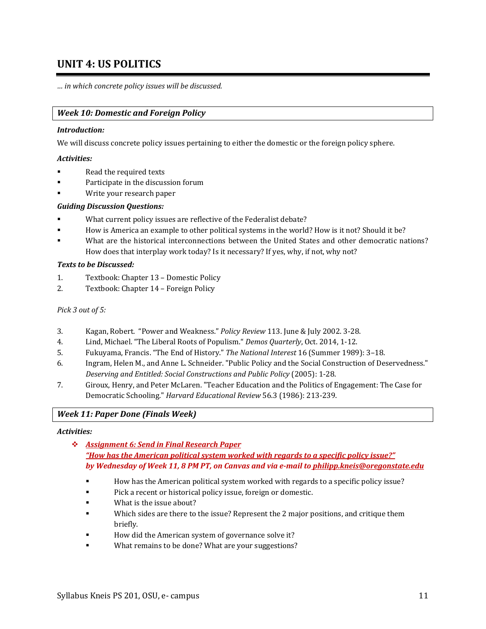# **UNIT 4: US POLITICS**

*… in which concrete policy issues will be discussed.*

## *Week 10: Domestic and Foreign Policy*

### *Introduction:*

We will discuss concrete policy issues pertaining to either the domestic or the foreign policy sphere.

### *Activities:*

- Read the required texts
- Participate in the discussion forum
- Write your research paper

### *Guiding Discussion Questions:*

- What current policy issues are reflective of the Federalist debate?
- How is America an example to other political systems in the world? How is it not? Should it be?
- What are the historical interconnections between the United States and other democratic nations? How does that interplay work today? Is it necessary? If yes, why, if not, why not?

## *Texts to be Discussed:*

- 1. Textbook: Chapter 13 Domestic Policy
- 2. Textbook: Chapter 14 Foreign Policy

### *Pick 3 out of 5:*

- 3. Kagan, Robert. "Power and Weakness." *Policy Review* 113. June & July 2002. 3-28.
- 4. Lind, Michael. "The Liberal Roots of Populism." *Demos Quarterly*, Oct. 2014, 1-12.
- 5. Fukuyama, Francis. "The End of History." *The National Interest* 16 (Summer 1989): 3–18.
- 6. Ingram, Helen M., and Anne L. Schneider. "Public Policy and the Social Construction of Deservedness." *Deserving and Entitled: Social Constructions and Public Policy* (2005): 1-28.
- 7. Giroux, Henry, and Peter McLaren. "Teacher Education and the Politics of Engagement: The Case for Democratic Schooling." *Harvard Educational Review* 56.3 (1986): 213-239.

## *Week 11: Paper Done (Finals Week)*

#### *Activities:*

- ❖ *Assignment 6: Send in Final Research Paper "How has the American political system worked with regards to a specific policy issue?" by Wednesday of Week 11, 8 PM PT, on Canvas and via e-mail to philipp.kneis@oregonstate.edu*
	- How has the American political system worked with regards to a specific policy issue?
	- Pick a recent or historical policy issue, foreign or domestic.
	- What is the issue about?
	- Which sides are there to the issue? Represent the 2 major positions, and critique them briefly.
	- How did the American system of governance solve it?
	- What remains to be done? What are your suggestions?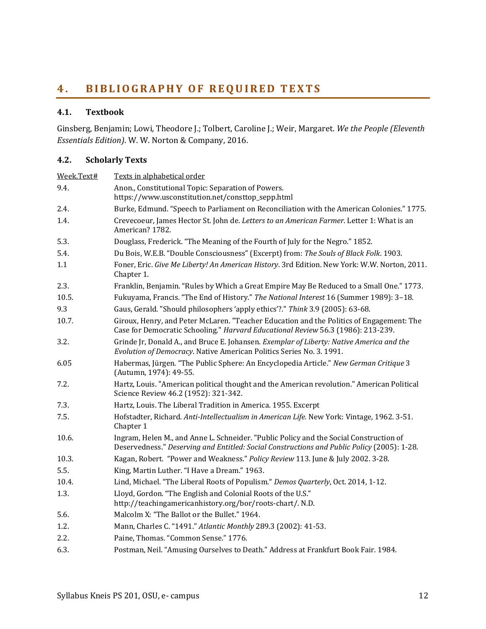# <span id="page-11-0"></span>**4 . B I B L I O G R A P H Y O F R E Q UI R E D T E X T S**

## **4.1. Textbook**

Ginsberg, Benjamin; Lowi, Theodore J.; Tolbert, Caroline J.; Weir, Margaret. *We the People (Eleventh Essentials Edition)*. W. W. Norton & Company, 2016.

## **4.2. Scholarly Texts**

| Week.Text# | Texts in alphabetical order                                                                                                                                                           |  |  |  |  |
|------------|---------------------------------------------------------------------------------------------------------------------------------------------------------------------------------------|--|--|--|--|
| 9.4.       | Anon., Constitutional Topic: Separation of Powers.<br>https://www.usconstitution.net/consttop_sepp.html                                                                               |  |  |  |  |
| 2.4.       | Burke, Edmund. "Speech to Parliament on Reconciliation with the American Colonies." 1775.                                                                                             |  |  |  |  |
| 1.4.       | Crevecoeur, James Hector St. John de. Letters to an American Farmer. Letter 1: What is an<br>American? 1782.                                                                          |  |  |  |  |
| 5.3.       | Douglass, Frederick. "The Meaning of the Fourth of July for the Negro." 1852.                                                                                                         |  |  |  |  |
| 5.4.       | Du Bois, W.E.B. "Double Consciousness" (Excerpt) from: The Souls of Black Folk. 1903.                                                                                                 |  |  |  |  |
| 1.1        | Foner, Eric. Give Me Liberty! An American History. 3rd Edition. New York: W.W. Norton, 2011.<br>Chapter 1.                                                                            |  |  |  |  |
| 2.3.       | Franklin, Benjamin. "Rules by Which a Great Empire May Be Reduced to a Small One." 1773.                                                                                              |  |  |  |  |
| 10.5.      | Fukuyama, Francis. "The End of History." The National Interest 16 (Summer 1989): 3-18.                                                                                                |  |  |  |  |
| 9.3        | Gaus, Gerald. "Should philosophers 'apply ethics'?." Think 3.9 (2005): 63-68.                                                                                                         |  |  |  |  |
| 10.7.      | Giroux, Henry, and Peter McLaren. "Teacher Education and the Politics of Engagement: The<br>Case for Democratic Schooling." Harvard Educational Review 56.3 (1986): 213-239.          |  |  |  |  |
| 3.2.       | Grinde Jr, Donald A., and Bruce E. Johansen. Exemplar of Liberty: Native America and the<br>Evolution of Democracy. Native American Politics Series No. 3. 1991.                      |  |  |  |  |
| 6.05       | Habermas, Jürgen. "The Public Sphere: An Encyclopedia Article." New German Critique 3<br>(Autumn, 1974): 49-55.                                                                       |  |  |  |  |
| 7.2.       | Hartz, Louis. "American political thought and the American revolution." American Political<br>Science Review 46.2 (1952): 321-342.                                                    |  |  |  |  |
| 7.3.       | Hartz, Louis. The Liberal Tradition in America. 1955. Excerpt                                                                                                                         |  |  |  |  |
| 7.5.       | Hofstadter, Richard. Anti-Intellectualism in American Life. New York: Vintage, 1962. 3-51.<br>Chapter 1                                                                               |  |  |  |  |
| 10.6.      | Ingram, Helen M., and Anne L. Schneider. "Public Policy and the Social Construction of<br>Deservedness." Deserving and Entitled: Social Constructions and Public Policy (2005): 1-28. |  |  |  |  |
| 10.3.      | Kagan, Robert. "Power and Weakness." Policy Review 113. June & July 2002. 3-28.                                                                                                       |  |  |  |  |
| 5.5.       | King, Martin Luther. "I Have a Dream." 1963.                                                                                                                                          |  |  |  |  |
| 10.4.      | Lind, Michael. "The Liberal Roots of Populism." Demos Quarterly, Oct. 2014, 1-12.                                                                                                     |  |  |  |  |
| 1.3.       | Lloyd, Gordon. "The English and Colonial Roots of the U.S."<br>http://teachingamericanhistory.org/bor/roots-chart/. N.D.                                                              |  |  |  |  |
| 5.6.       | Malcolm X: "The Ballot or the Bullet." 1964.                                                                                                                                          |  |  |  |  |
| 1.2.       | Mann, Charles C. "1491." Atlantic Monthly 289.3 (2002): 41-53.                                                                                                                        |  |  |  |  |
| 2.2.       | Paine, Thomas. "Common Sense." 1776.                                                                                                                                                  |  |  |  |  |
| 6.3.       | Postman, Neil. "Amusing Ourselves to Death." Address at Frankfurt Book Fair. 1984.                                                                                                    |  |  |  |  |
|            |                                                                                                                                                                                       |  |  |  |  |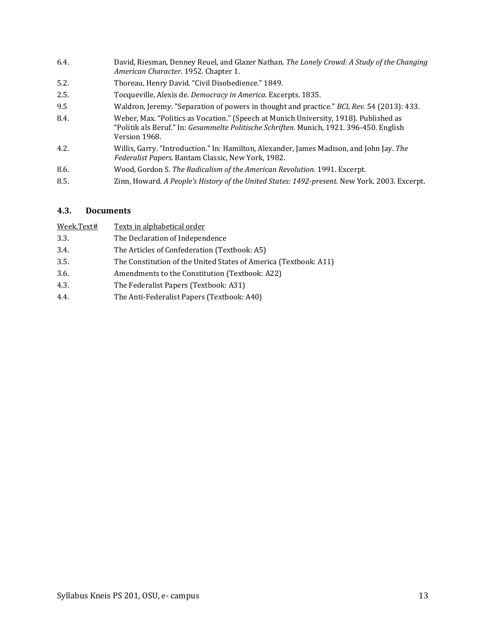- 6.4. David, Riesman, Denney Reuel, and Glazer Nathan. *The Lonely Crowd: A Study of the Changing American Character*. 1952. Chapter 1.
- 5.2. Thoreau, Henry David. "Civil Disobedience." 1849.
- 2.5. Tocqueville, Alexis de. *Democracy in America*. Excerpts. 1835.
- 9.5 Waldron, Jeremy. "Separation of powers in thought and practice." *BCL Rev.* 54 (2013): 433.
- 8.4. Weber, Max. "Politics as Vocation." (Speech at Munich University, 1918). Published as "Politik als Beruf." In: *Gesammelte Politische Schriften.* Munich, 1921. 396-450. English Version 1968.
- 4.2. Willis, Garry. "Introduction." In: Hamilton, Alexander, James Madison, and John Jay. *The Federalist Papers*. Bantam Classic, New York, 1982.
- 8.6. Wood, Gordon S. *The Radicalism of the American Revolution.* 1991. Excerpt.
- 8.5. Zinn, Howard. *A People's History of the United States: 1492-present.* New York. 2003. Excerpt.

## <span id="page-12-0"></span>**4.3. Documents**

| Week.Text# | Texts in alphabetical order                                      |
|------------|------------------------------------------------------------------|
| 3.3.       | The Declaration of Independence                                  |
| 3.4.       | The Articles of Confederation (Textbook: A5)                     |
| 3.5.       | The Constitution of the United States of America (Textbook: A11) |
| 3.6.       | Amendments to the Constitution (Textbook: A22)                   |
| 4.3.       | The Federalist Papers (Textbook: A31)                            |
| 4.4.       | The Anti-Federalist Papers (Textbook: A40)                       |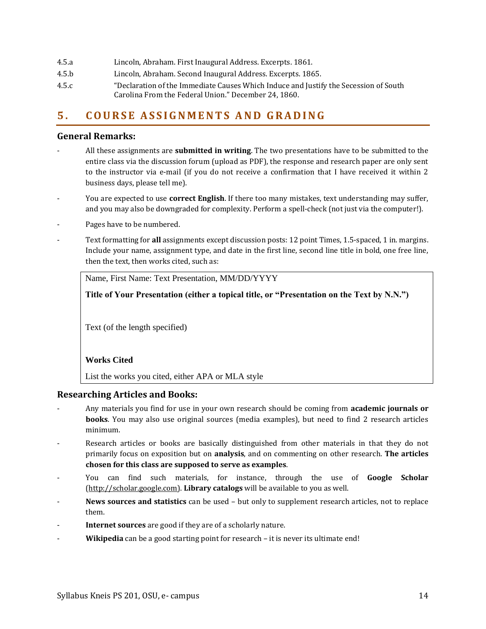- 4.5.a Lincoln, Abraham. First Inaugural Address. Excerpts. 1861.
- 4.5.b Lincoln, Abraham. Second Inaugural Address. Excerpts. 1865.
- 4.5.c "Declaration of the Immediate Causes Which Induce and Justify the Secession of South Carolina From the Federal Union." December 24, 1860.

# <span id="page-13-0"></span>**5 . C O U R S E A S S I G N M E N T S AN D G R A D I N G**

## **General Remarks:**

- All these assignments are **submitted in writing**. The two presentations have to be submitted to the entire class via the discussion forum (upload as PDF), the response and research paper are only sent to the instructor via e-mail (if you do not receive a confirmation that I have received it within 2 business days, please tell me).
- You are expected to use **correct English**. If there too many mistakes, text understanding may suffer, and you may also be downgraded for complexity. Perform a spell-check (not just via the computer!).
- Pages have to be numbered.
- Text formatting for all assignments except discussion posts: 12 point Times, 1.5-spaced, 1 in. margins. Include your name, assignment type, and date in the first line, second line title in bold, one free line, then the text, then works cited, such as:

Name, First Name: Text Presentation, MM/DD/YYYY

**Title of Your Presentation (either a topical title, or "Presentation on the Text by N.N.")**

Text (of the length specified)

## **Works Cited**

List the works you cited, either APA or MLA style

## **Researching Articles and Books:**

- Any materials you find for use in your own research should be coming from **academic journals or books**. You may also use original sources (media examples), but need to find 2 research articles minimum.
- Research articles or books are basically distinguished from other materials in that they do not primarily focus on exposition but on **analysis**, and on commenting on other research. **The articles chosen for this class are supposed to serve as examples**.
- You can find such materials, for instance, through the use of **Google Scholar** [\(http://scholar.google.com\)](http://scholar.google.com/). **Library catalogs** will be available to you as well.
- **News sources and statistics** can be used but only to supplement research articles, not to replace them.
- **Internet sources** are good if they are of a scholarly nature.
- Wikipedia can be a good starting point for research it is never its ultimate end!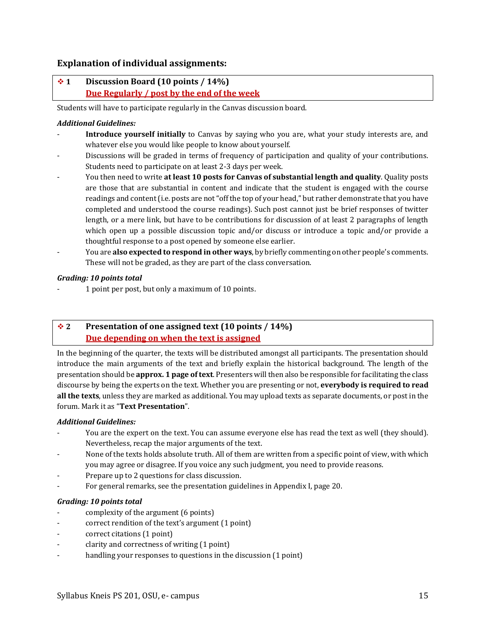## **Explanation of individual assignments:**

## ❖ **1 Discussion Board (10 points / 14%) Due Regularly / post by the end of the week**

Students will have to participate regularly in the Canvas discussion board.

### *Additional Guidelines:*

- Introduce yourself initially to Canvas by saying who you are, what your study interests are, and whatever else you would like people to know about yourself.
- Discussions will be graded in terms of frequency of participation and quality of your contributions. Students need to participate on at least 2-3 days per week.
- You then need to write **at least 10 posts for Canvas of substantial length and quality**. Quality posts are those that are substantial in content and indicate that the student is engaged with the course readings and content (i.e. posts are not "off the top of your head," but rather demonstrate that you have completed and understood the course readings). Such post cannot just be brief responses of twitter length, or a mere link, but have to be contributions for discussion of at least 2 paragraphs of length which open up a possible discussion topic and/or discuss or introduce a topic and/or provide a thoughtful response to a post opened by someone else earlier.
- You are **also expected to respond in other ways**, by briefly commenting on other people's comments. These will not be graded, as they are part of the class conversation.

### *Grading: 10 points total*

- 1 point per post, but only a maximum of 10 points.

## ❖ **2 Presentation of one assigned text (10 points / 14%) Due depending on when the text is assigned**

In the beginning of the quarter, the texts will be distributed amongst all participants. The presentation should introduce the main arguments of the text and briefly explain the historical background. The length of the presentation should be **approx. 1 page of text**. Presenters will then also be responsible for facilitating the class discourse by being the experts on the text. Whether you are presenting or not, **everybody is required to read all the texts**, unless they are marked as additional. You may upload texts as separate documents, or post in the forum. Mark it as "**Text Presentation**".

#### *Additional Guidelines:*

- You are the expert on the text. You can assume everyone else has read the text as well (they should). Nevertheless, recap the major arguments of the text.
- None of the texts holds absolute truth. All of them are written from a specific point of view, with which you may agree or disagree. If you voice any such judgment, you need to provide reasons.
- Prepare up to 2 questions for class discussion.
- For general remarks, see the presentation guidelines in Appendix I, pag[e 20.](#page-19-1)

#### *Grading: 10 points total*

- complexity of the argument (6 points)
- correct rendition of the text's argument (1 point)
- correct citations (1 point)
- clarity and correctness of writing (1 point)
- handling your responses to questions in the discussion (1 point)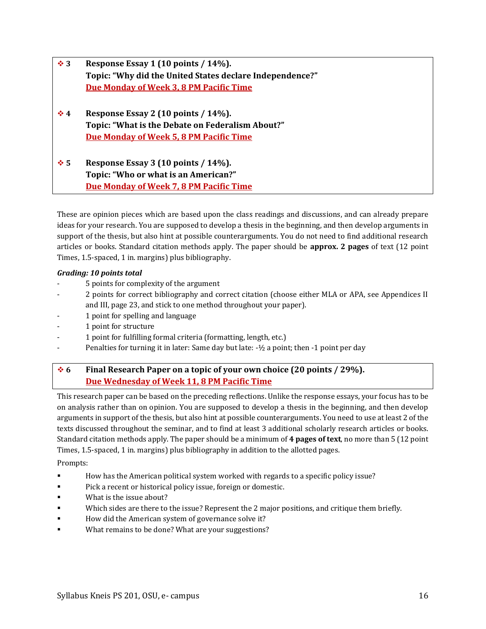| $\ddot{\bullet}$ 3 | Response Essay 1 (10 points / 14%).                      |
|--------------------|----------------------------------------------------------|
|                    | Topic: "Why did the United States declare Independence?" |
|                    | <b>Due Monday of Week 3, 8 PM Pacific Time</b>           |
|                    |                                                          |
| $\div$ 4           | Response Essay 2 (10 points / $14\%$ ).                  |
|                    | Topic: "What is the Debate on Federalism About?"         |
|                    | <b>Due Monday of Week 5, 8 PM Pacific Time</b>           |
|                    |                                                          |
| $\ddot{\bullet}$ 5 | Response Essay 3 (10 points / $14\%$ ).                  |
|                    | Topic: "Who or what is an American?"                     |
|                    | <b>Due Monday of Week 7, 8 PM Pacific Time</b>           |

These are opinion pieces which are based upon the class readings and discussions, and can already prepare ideas for your research. You are supposed to develop a thesis in the beginning, and then develop arguments in support of the thesis, but also hint at possible counterarguments. You do not need to find additional research articles or books. Standard citation methods apply. The paper should be **approx. 2 pages** of text (12 point Times, 1.5-spaced, 1 in. margins) plus bibliography.

## *Grading: 10 points total*

- 5 points for complexity of the argument
- 2 points for correct bibliography and correct citation (choose either MLA or APA, see Appendices II and III, pag[e 23,](#page-21-0) and stick to one method throughout your paper).
- 1 point for spelling and language
- 1 point for structure
- 1 point for fulfilling formal criteria (formatting, length, etc.)
- Penalties for turning it in later: Same day but late:  $-\frac{1}{2}$  a point; then  $-1$  point per day

## ❖ **6 Final Research Paper on a topic of your own choice (20 points / 29%). Due Wednesday of Week 11, 8 PM Pacific Time**

This research paper can be based on the preceding reflections. Unlike the response essays, your focus has to be on analysis rather than on opinion. You are supposed to develop a thesis in the beginning, and then develop arguments in support of the thesis, but also hint at possible counterarguments. You need to use at least 2 of the texts discussed throughout the seminar, and to find at least 3 additional scholarly research articles or books. Standard citation methods apply. The paper should be a minimum of **4 pages of text**, no more than 5 (12 point Times, 1.5-spaced, 1 in. margins) plus bibliography in addition to the allotted pages.

Prompts:

- How has the American political system worked with regards to a specific policy issue?
- Pick a recent or historical policy issue, foreign or domestic.
- What is the issue about?
- Which sides are there to the issue? Represent the 2 major positions, and critique them briefly.
- How did the American system of governance solve it?
- What remains to be done? What are your suggestions?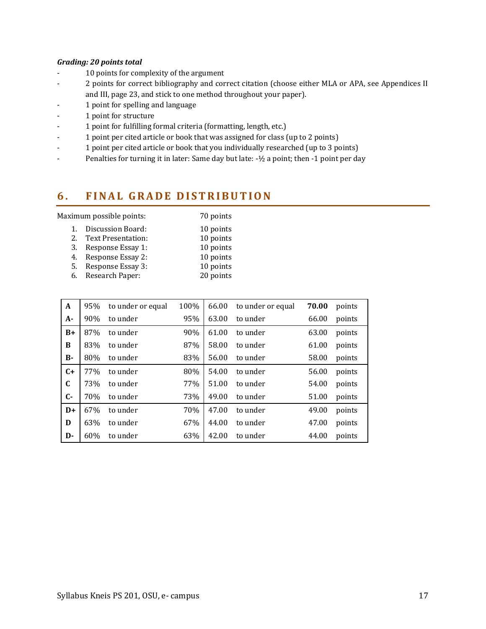### *Grading: 20 points total*

- 10 points for complexity of the argument
- 2 points for correct bibliography and correct citation (choose either MLA or APA, see Appendices II and III, pag[e 23,](#page-21-0) and stick to one method throughout your paper).
- 1 point for spelling and language
- 1 point for structure
- 1 point for fulfilling formal criteria (formatting, length, etc.)
- 1 point per cited article or book that was assigned for class (up to 2 points)
- 1 point per cited article or book that you individually researched (up to 3 points)
- Penalties for turning it in later: Same day but late: -1/2 a point; then -1 point per day

# <span id="page-16-0"></span>**6 . F I N A L G R A D E D I S T R I B UT I O N**

Maximum possible points: 70 points

| 1. | Discussion Board:  | 10 points |
|----|--------------------|-----------|
| 2. | Text Presentation: | 10 points |
| 3. | Response Essay 1:  | 10 points |
| 4. | Response Essay 2:  | 10 points |
| 5. | Response Essay 3:  | 10 points |
|    |                    |           |

| Research Paper: | 20 points |
|-----------------|-----------|
|                 |           |

| $\mathbf{A}$ | 95% | to under or equal | 100% | 66.00 | to under or equal | 70.00 | points |
|--------------|-----|-------------------|------|-------|-------------------|-------|--------|
| $A -$        | 90% | to under          | 95%  | 63.00 | to under          | 66.00 | points |
| $B+$         | 87% | to under          | 90%  | 61.00 | to under          | 63.00 | points |
| B            | 83% | to under          | 87%  | 58.00 | to under          | 61.00 | points |
| <b>B-</b>    | 80% | to under          | 83%  | 56.00 | to under          | 58.00 | points |
| $C+$         | 77% | to under          | 80%  | 54.00 | to under          | 56.00 | points |
| $\mathbf C$  | 73% | to under          | 77%  | 51.00 | to under          | 54.00 | points |
| $\mathbf{C}$ | 70% | to under          | 73%  | 49.00 | to under          | 51.00 | points |
| $D+$         | 67% | to under          | 70%  | 47.00 | to under          | 49.00 | points |
| D            | 63% | to under          | 67%  | 44.00 | to under          | 47.00 | points |
| D-           | 60% | to under          | 63%  | 42.00 | to under          | 44.00 | points |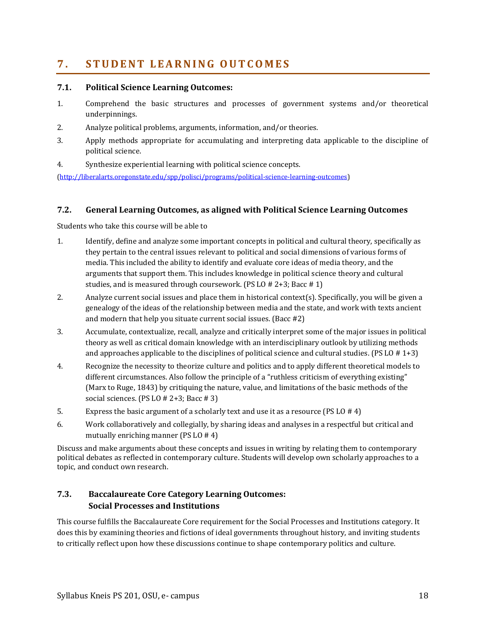# <span id="page-17-0"></span>**7 . S T U D E N T L E A R N I N G O U T C O M E S**

## **7.1. Political Science Learning Outcomes:**

- 1. Comprehend the basic structures and processes of government systems and/or theoretical underpinnings.
- 2. Analyze political problems, arguments, information, and/or theories.
- 3. Apply methods appropriate for accumulating and interpreting data applicable to the discipline of political science.
- 4. Synthesize experiential learning with political science concepts.

[\(http://liberalarts.oregonstate.edu/spp/polisci/programs/political-science-learning-outcomes\)](http://liberalarts.oregonstate.edu/spp/polisci/programs/political-science-learning-outcomes)

## **7.2. General Learning Outcomes, as aligned with Political Science Learning Outcomes**

Students who take this course will be able to

- 1. Identify, define and analyze some important concepts in political and cultural theory, specifically as they pertain to the central issues relevant to political and social dimensions of various forms of media. This included the ability to identify and evaluate core ideas of media theory, and the arguments that support them. This includes knowledge in political science theory and cultural studies, and is measured through coursework. (PS LO # 2+3; Bacc # 1)
- 2. Analyze current social issues and place them in historical context(s). Specifically, you will be given a genealogy of the ideas of the relationship between media and the state, and work with texts ancient and modern that help you situate current social issues. (Bacc #2)
- 3. Accumulate, contextualize, recall, analyze and critically interpret some of the major issues in political theory as well as critical domain knowledge with an interdisciplinary outlook by utilizing methods and approaches applicable to the disciplines of political science and cultural studies. (PS LO  $# 1+3$ )
- 4. Recognize the necessity to theorize culture and politics and to apply different theoretical models to different circumstances. Also follow the principle of a "ruthless criticism of everything existing" (Marx to Ruge, 1843) by critiquing the nature, value, and limitations of the basic methods of the social sciences. (PS LO  $# 2+3$ ; Bacc  $# 3$ )
- 5. Express the basic argument of a scholarly text and use it as a resource (PS LO # 4)
- 6. Work collaboratively and collegially, by sharing ideas and analyses in a respectful but critical and mutually enriching manner (PS LO # 4)

Discuss and make arguments about these concepts and issues in writing by relating them to contemporary political debates as reflected in contemporary culture. Students will develop own scholarly approaches to a topic, and conduct own research.

# **7.3. [Baccalaureate Core Category Learning Outcomes:](http://main.oregonstate.edu/baccalaureate-core/faculty-and-advisors/roles-and-responsibilities-faculty) Social Processes and Institutions**

This course fulfills the Baccalaureate Core requirement for the Social Processes and Institutions category. It does this by examining theories and fictions of ideal governments throughout history, and inviting students to critically reflect upon how these discussions continue to shape contemporary politics and culture.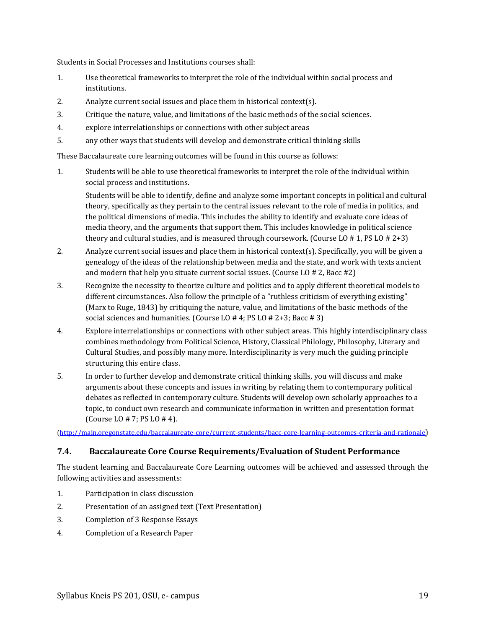Students in Social Processes and Institutions courses shall:

- 1. Use theoretical frameworks to interpret the role of the individual within social process and institutions.
- 2. Analyze current social issues and place them in historical context(s).
- 3. Critique the nature, value, and limitations of the basic methods of the social sciences.
- 4. explore interrelationships or connections with other subject areas
- 5. any other ways that students will develop and demonstrate critical thinking skills

These Baccalaureate core learning outcomes will be found in this course as follows:

1. Students will be able to use theoretical frameworks to interpret the role of the individual within social process and institutions.

Students will be able to identify, define and analyze some important concepts in political and cultural theory, specifically as they pertain to the central issues relevant to the role of media in politics, and the political dimensions of media. This includes the ability to identify and evaluate core ideas of media theory, and the arguments that support them. This includes knowledge in political science theory and cultural studies, and is measured through coursework. (Course LO  $# 1$ , PS LO  $# 2+3$ )

- 2. Analyze current social issues and place them in historical context(s). Specifically, you will be given a genealogy of the ideas of the relationship between media and the state, and work with texts ancient and modern that help you situate current social issues. (Course LO # 2, Bacc #2)
- 3. Recognize the necessity to theorize culture and politics and to apply different theoretical models to different circumstances. Also follow the principle of a "ruthless criticism of everything existing" (Marx to Ruge, 1843) by critiquing the nature, value, and limitations of the basic methods of the social sciences and humanities. (Course LO # 4; PS LO # 2+3; Bacc # 3)
- 4. Explore interrelationships or connections with other subject areas. This highly interdisciplinary class combines methodology from Political Science, History, Classical Philology, Philosophy, Literary and Cultural Studies, and possibly many more. Interdisciplinarity is very much the guiding principle structuring this entire class.
- 5. In order to further develop and demonstrate critical thinking skills, you will discuss and make arguments about these concepts and issues in writing by relating them to contemporary political debates as reflected in contemporary culture. Students will develop own scholarly approaches to a topic, to conduct own research and communicate information in written and presentation format (Course LO # 7; PS LO # 4).

[\(http://main.oregonstate.edu/baccalaureate-core/current-students/bacc-core-learning-outcomes-criteria-and-rationale](http://main.oregonstate.edu/baccalaureate-core/current-students/bacc-core-learning-outcomes-criteria-and-rationale))

## **7.4. Baccalaureate Core Course Requirements/Evaluation of Student Performance**

The student learning and Baccalaureate Core Learning outcomes will be achieved and assessed through the following activities and assessments:

- 1. Participation in class discussion
- 2. Presentation of an assigned text (Text Presentation)
- 3. Completion of 3 Response Essays
- 4. Completion of a Research Paper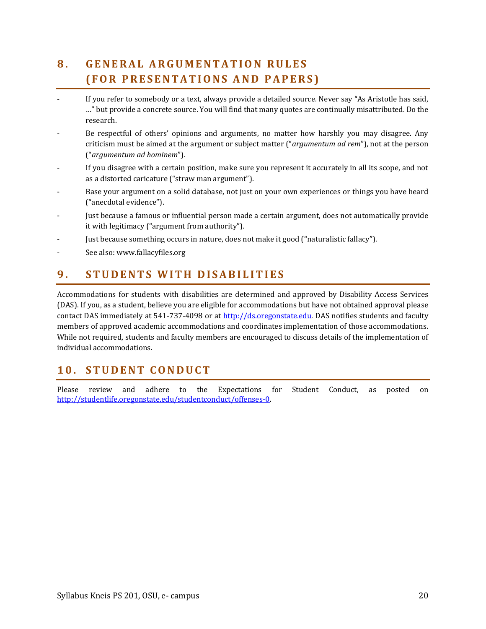# <span id="page-19-0"></span>**8 . G E N E R A L A R G U M E N T A T I ON R U L E S ( F O R P R E S E N T A T I O N S AN D P A P E R S )**

- If you refer to somebody or a text, always provide a detailed source. Never say "As Aristotle has said, …" but provide a concrete source. You will find that many quotes are continually misattributed. Do the research.
- Be respectful of others' opinions and arguments, no matter how harshly you may disagree. Any criticism must be aimed at the argument or subject matter ("*argumentum ad rem*"), not at the person ("*argumentum ad hominem*").
- If you disagree with a certain position, make sure you represent it accurately in all its scope, and not as a distorted caricature ("straw man argument").
- Base your argument on a solid database, not just on your own experiences or things you have heard ("anecdotal evidence").
- Just because a famous or influential person made a certain argument, does not automatically provide it with legitimacy ("argument from authority").
- Just because something occurs in nature, does not make it good ("naturalistic fallacy").
- See also: www.fallacyfiles.org

# <span id="page-19-1"></span>**9 . S T U D E N T S W I T H D I S A B I L I T I E S**

Accommodations for students with disabilities are determined and approved by Disability Access Services (DAS). If you, as a student, believe you are eligible for accommodations but have not obtained approval please contact DAS immediately at 541-737-4098 or at [http://ds.oregonstate.edu.](http://ds.oregonstate.edu/) DAS notifies students and faculty members of approved academic accommodations and coordinates implementation of those accommodations. While not required, students and faculty members are encouraged to discuss details of the implementation of individual accommodations.

# <span id="page-19-2"></span>**1 0 . S T U D E N T C O N D U C T**

Please review and adhere to the [Expectations for Student Conduct,](http://oregonstate.edu/studentconduct/http:/%252Foregonstate.edu/studentconduct/code/index.php) as posted on [http://studentlife.oregonstate.edu/studentconduct/offenses-0.](http://studentlife.oregonstate.edu/studentconduct/offenses-0)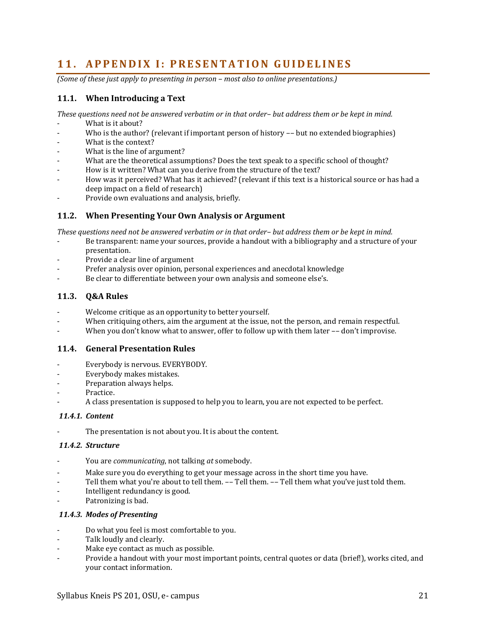# <span id="page-20-0"></span>11. **APPENDIX I: PRESENTATION GUIDELINES**

*(Some of these just apply to presenting in person – most also to online presentations.)* 

## **11.1. When Introducing a Text**

*These questions need not be answered verbatim or in that order– but address them or be kept in mind.*

- What is it about?
- Who is the author? (relevant if important person of history -- but no extended biographies)
- What is the context?
- What is the line of argument?
- What are the theoretical assumptions? Does the text speak to a specific school of thought?
- How is it written? What can you derive from the structure of the text?
- How was it perceived? What has it achieved? (relevant if this text is a historical source or has had a deep impact on a field of research)
- Provide own evaluations and analysis, briefly.

## **11.2. When Presenting Your Own Analysis or Argument**

*These questions need not be answered verbatim or in that order– but address them or be kept in mind.*

- Be transparent: name your sources, provide a handout with a bibliography and a structure of your presentation.
- Provide a clear line of argument
- Prefer analysis over opinion, personal experiences and anecdotal knowledge
- Be clear to differentiate between your own analysis and someone else's.

## **11.3. Q&A Rules**

- Welcome critique as an opportunity to better yourself.
- When critiquing others, aim the argument at the issue, not the person, and remain respectful.
- When you don't know what to answer, offer to follow up with them later -- don't improvise.

## **11.4. General Presentation Rules**

- Everybody is nervous. EVERYBODY.
- Everybody makes mistakes.
- Preparation always helps.
- Practice.
- A class presentation is supposed to help you to learn, you are not expected to be perfect.

## *11.4.1. Content*

The presentation is not about you. It is about the content.

#### *11.4.2. Structure*

- You are *communicating*, not talking *at* somebody.
- Make sure you do everything to get your message across in the short time you have.
- Tell them what you're about to tell them. -- Tell them. -- Tell them what you've just told them.
- Intelligent redundancy is good.
- Patronizing is bad.

#### *11.4.3. Modes of Presenting*

- Do what you feel is most comfortable to you.
- Talk loudly and clearly.
- Make eye contact as much as possible.
- Provide a handout with your most important points, central quotes or data (brief!), works cited, and your contact information.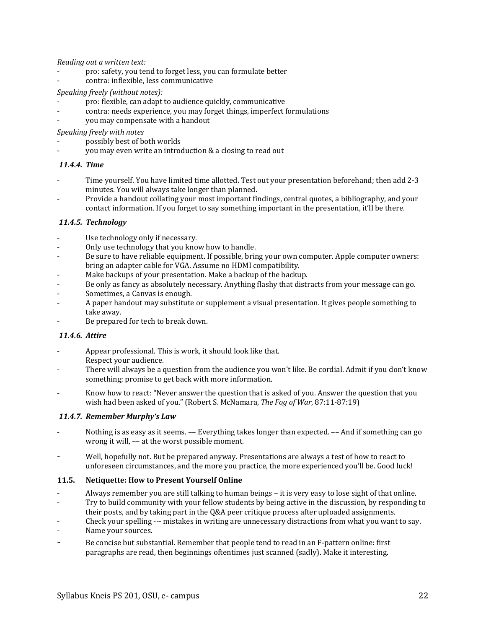*Reading out a written text:*

- pro: safety, you tend to forget less, you can formulate better
- contra: inflexible, less communicative

### *Speaking freely (without notes):*

- pro: flexible, can adapt to audience quickly, communicative
- contra: needs experience, you may forget things, imperfect formulations
- you may compensate with a handout

*Speaking freely with notes*

- possibly best of both worlds
- you may even write an introduction & a closing to read out

## *11.4.4. Time*

- Time yourself. You have limited time allotted. Test out your presentation beforehand; then add 2-3 minutes. You will always take longer than planned.
- Provide a handout collating your most important findings, central quotes, a bibliography, and your contact information. If you forget to say something important in the presentation, it'll be there.

### *11.4.5. Technology*

- Use technology only if necessary.
- Only use technology that you know how to handle.
- Be sure to have reliable equipment. If possible, bring your own computer. Apple computer owners: bring an adapter cable for VGA. Assume no HDMI compatibility.
- Make backups of your presentation. Make a backup of the backup.
- Be only as fancy as absolutely necessary. Anything flashy that distracts from your message can go.
- Sometimes, a Canvas is enough.
- A paper handout may substitute or supplement a visual presentation. It gives people something to take away.
- Be prepared for tech to break down.

#### *11.4.6. Attire*

- Appear professional. This is work, it should look like that. Respect your audience.
- There will always be a question from the audience you won't like. Be cordial. Admit if you don't know something; promise to get back with more information.
- Know how to react: "Never answer the question that is asked of you. Answer the question that you wish had been asked of you." (Robert S. McNamara, *The Fog of War*, 87:11-87:19)

## *11.4.7. Remember Murphy's Law*

- Nothing is as easy as it seems. -- Everything takes longer than expected. -- And if something can go wrong it will, –– at the worst possible moment.
- Well, hopefully not. But be prepared anyway. Presentations are always a test of how to react to unforeseen circumstances, and the more you practice, the more experienced you'll be. Good luck!

#### **11.5. Netiquette: How to Present Yourself Online**

- Always remember you are still talking to human beings it is very easy to lose sight of that online.
- Try to build community with your fellow students by being active in the discussion, by responding to
- their posts, and by taking part in the Q&A peer critique process after uploaded assignments.
- Check your spelling --- mistakes in writing are unnecessary distractions from what you want to say.
- Name your sources.
- <span id="page-21-0"></span>Be concise but substantial. Remember that people tend to read in an F-pattern online: first paragraphs are read, then beginnings oftentimes just scanned (sadly). Make it interesting.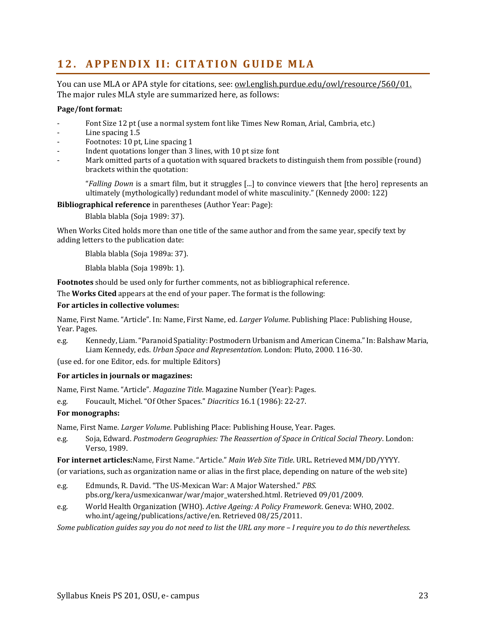# <span id="page-22-0"></span>**12. APPENDIX II: CITATION GUIDE MLA**

You can use MLA or APA style for citations, see: [owl.english.purdue.edu/owl/resource/560/01.](http://owl.english.purdue.edu/owl/resource/560/01) The major rules MLA style are summarized here, as follows:

### **Page/font format:**

- Font Size 12 pt (use a normal system font like Times New Roman, Arial, Cambria, etc.)
- Line spacing 1.5
- Footnotes: 10 pt, Line spacing 1
- Indent quotations longer than 3 lines, with 10 pt size font
- Mark omitted parts of a quotation with squared brackets to distinguish them from possible (round) brackets within the quotation:

"*Falling Down* is a smart film, but it struggles [...] to convince viewers that [the hero] represents an ultimately (mythologically) redundant model of white masculinity." (Kennedy 2000: 122)

**Bibliographical reference** in parentheses (Author Year: Page):

Blabla blabla (Soja 1989: 37).

When Works Cited holds more than one title of the same author and from the same year, specify text by adding letters to the publication date:

Blabla blabla (Soja 1989a: 37).

Blabla blabla (Soja 1989b: 1).

**Footnotes** should be used only for further comments, not as bibliographical reference.

The **Works Cited** appears at the end of your paper. The format is the following:

## **For articles in collective volumes:**

Name, First Name. "Article". In: Name, First Name, ed. *Larger Volume*. Publishing Place: Publishing House, Year. Pages.

e.g. Kennedy, Liam. "Paranoid Spatiality: Postmodern Urbanism and American Cinema." In: Balshaw Maria, Liam Kennedy, eds. *Urban Space and Representation.* London: Pluto, 2000. 116-30.

(use ed. for one Editor, eds. for multiple Editors)

#### **For articles in journals or magazines:**

Name, First Name. "Article". *Magazine Title*. Magazine Number (Year): Pages.

e.g. Foucault, Michel. "Of Other Spaces." *Diacritics* 16.1 (1986): 22-27.

## **For monographs:**

Name, First Name. *Larger Volume*. Publishing Place: Publishing House, Year. Pages.

e.g. Soja, Edward. *Postmodern Geographies: The Reassertion of Space in Critical Social Theory*. London: Verso, 1989.

**For internet articles:**Name, First Name. "Article." *Main Web Site Title*. URL. Retrieved MM/DD/YYYY.

(or variations, such as organization name or alias in the first place, depending on nature of the web site)

- e.g. Edmunds, R. David. "The US-Mexican War: A Major Watershed." *PBS.*  pbs.org/kera/usmexicanwar/war/major\_watershed.html. Retrieved 09/01/2009.
- e.g. World Health Organization (WHO). *Active Ageing: A Policy Framework*. Geneva: WHO, 2002. who.int/ageing/publications/active/en. Retrieved 08/25/2011.

*Some publication guides say you do not need to list the URL any more – I require you to do this nevertheless.*